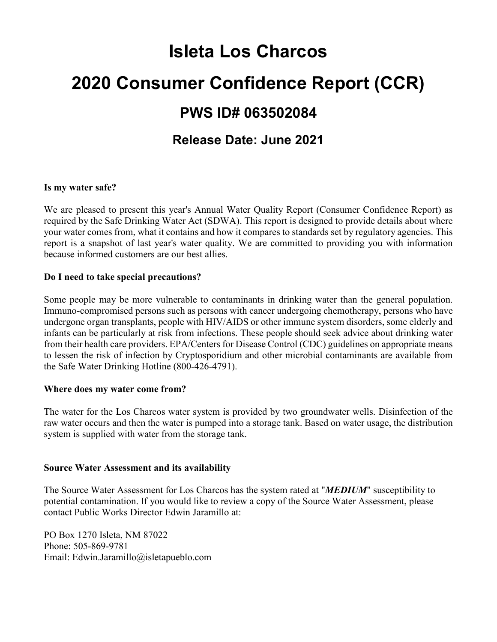# **Isleta Los Charcos 2020 Consumer Confidence Report (CCR) PWS ID# 063502084 Release Date: June 2021**

#### **Is my water safe?**

We are pleased to present this year's Annual Water Quality Report (Consumer Confidence Report) as required by the Safe Drinking Water Act (SDWA). This report is designed to provide details about where your water comes from, what it contains and how it compares to standards set by regulatory agencies. This report is a snapshot of last year's water quality. We are committed to providing you with information because informed customers are our best allies.

#### **Do I need to take special precautions?**

Some people may be more vulnerable to contaminants in drinking water than the general population. Immuno-compromised persons such as persons with cancer undergoing chemotherapy, persons who have undergone organ transplants, people with HIV/AIDS or other immune system disorders, some elderly and infants can be particularly at risk from infections. These people should seek advice about drinking water from their health care providers. EPA/Centers for Disease Control (CDC) guidelines on appropriate means to lessen the risk of infection by Cryptosporidium and other microbial contaminants are available from the Safe Water Drinking Hotline (800-426-4791).

#### **Where does my water come from?**

The water for the Los Charcos water system is provided by two groundwater wells. Disinfection of the raw water occurs and then the water is pumped into a storage tank. Based on water usage, the distribution system is supplied with water from the storage tank.

#### **Source Water Assessment and its availability**

The Source Water Assessment for Los Charcos has the system rated at "*MEDIUM*" susceptibility to potential contamination. If you would like to review a copy of the Source Water Assessment, please contact Public Works Director Edwin Jaramillo at:

PO Box 1270 Isleta, NM 87022 Phone: 505-869-9781 Email: Edwin.Jaramillo@isletapueblo.com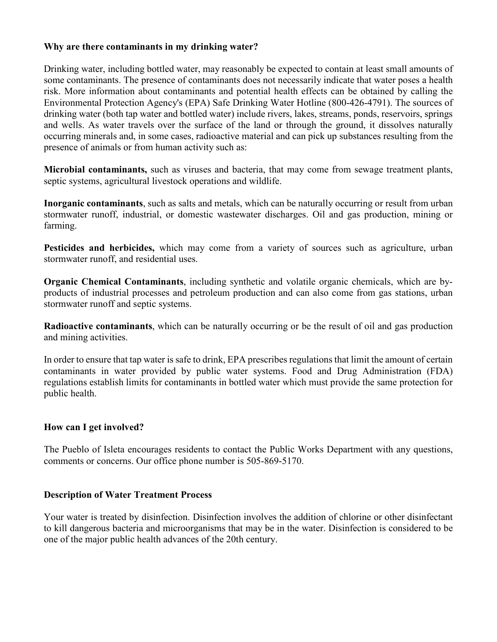#### **Why are there contaminants in my drinking water?**

Drinking water, including bottled water, may reasonably be expected to contain at least small amounts of some contaminants. The presence of contaminants does not necessarily indicate that water poses a health risk. More information about contaminants and potential health effects can be obtained by calling the Environmental Protection Agency's (EPA) Safe Drinking Water Hotline (800-426-4791). The sources of drinking water (both tap water and bottled water) include rivers, lakes, streams, ponds, reservoirs, springs and wells. As water travels over the surface of the land or through the ground, it dissolves naturally occurring minerals and, in some cases, radioactive material and can pick up substances resulting from the presence of animals or from human activity such as:

**Microbial contaminants,** such as viruses and bacteria, that may come from sewage treatment plants, septic systems, agricultural livestock operations and wildlife.

**Inorganic contaminants**, such as salts and metals, which can be naturally occurring or result from urban stormwater runoff, industrial, or domestic wastewater discharges. Oil and gas production, mining or farming.

**Pesticides and herbicides,** which may come from a variety of sources such as agriculture, urban stormwater runoff, and residential uses.

**Organic Chemical Contaminants**, including synthetic and volatile organic chemicals, which are byproducts of industrial processes and petroleum production and can also come from gas stations, urban stormwater runoff and septic systems.

**Radioactive contaminants**, which can be naturally occurring or be the result of oil and gas production and mining activities.

In order to ensure that tap water is safe to drink, EPA prescribes regulations that limit the amount of certain contaminants in water provided by public water systems. Food and Drug Administration (FDA) regulations establish limits for contaminants in bottled water which must provide the same protection for public health.

# **How can I get involved?**

The Pueblo of Isleta encourages residents to contact the Public Works Department with any questions, comments or concerns. Our office phone number is 505-869-5170.

#### **Description of Water Treatment Process**

Your water is treated by disinfection. Disinfection involves the addition of chlorine or other disinfectant to kill dangerous bacteria and microorganisms that may be in the water. Disinfection is considered to be one of the major public health advances of the 20th century.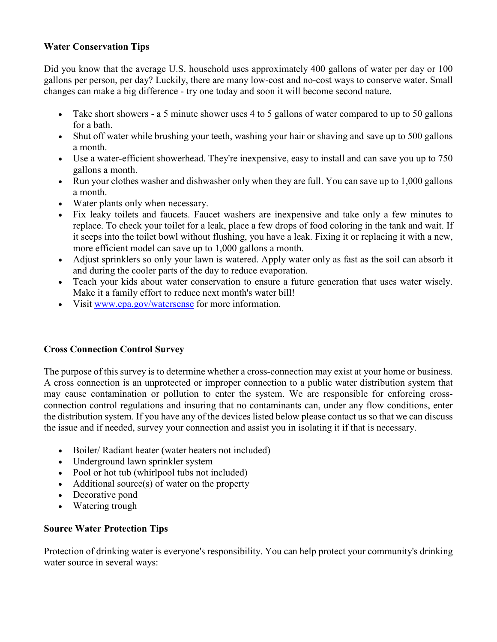# **Water Conservation Tips**

Did you know that the average U.S. household uses approximately 400 gallons of water per day or 100 gallons per person, per day? Luckily, there are many low-cost and no-cost ways to conserve water. Small changes can make a big difference - try one today and soon it will become second nature.

- Take short showers a 5 minute shower uses 4 to 5 gallons of water compared to up to 50 gallons for a bath.
- Shut off water while brushing your teeth, washing your hair or shaving and save up to 500 gallons a month.
- Use a water-efficient showerhead. They're inexpensive, easy to install and can save you up to 750 gallons a month.
- Run your clothes washer and dishwasher only when they are full. You can save up to 1,000 gallons a month.
- Water plants only when necessary.
- Fix leaky toilets and faucets. Faucet washers are inexpensive and take only a few minutes to replace. To check your toilet for a leak, place a few drops of food coloring in the tank and wait. If it seeps into the toilet bowl without flushing, you have a leak. Fixing it or replacing it with a new, more efficient model can save up to 1,000 gallons a month.
- Adjust sprinklers so only your lawn is watered. Apply water only as fast as the soil can absorb it and during the cooler parts of the day to reduce evaporation.
- Teach your kids about water conservation to ensure a future generation that uses water wisely. Make it a family effort to reduce next month's water bill!
- Visit [www.epa.gov/watersense](http://www.epa.gov/watersense) for more information.

# **Cross Connection Control Survey**

The purpose of this survey is to determine whether a cross-connection may exist at your home or business. A cross connection is an unprotected or improper connection to a public water distribution system that may cause contamination or pollution to enter the system. We are responsible for enforcing crossconnection control regulations and insuring that no contaminants can, under any flow conditions, enter the distribution system. If you have any of the devices listed below please contact us so that we can discuss the issue and if needed, survey your connection and assist you in isolating it if that is necessary.

- Boiler/ Radiant heater (water heaters not included)
- Underground lawn sprinkler system
- Pool or hot tub (whirlpool tubs not included)
- Additional source(s) of water on the property
- Decorative pond
- Watering trough

# **Source Water Protection Tips**

Protection of drinking water is everyone's responsibility. You can help protect your community's drinking water source in several ways: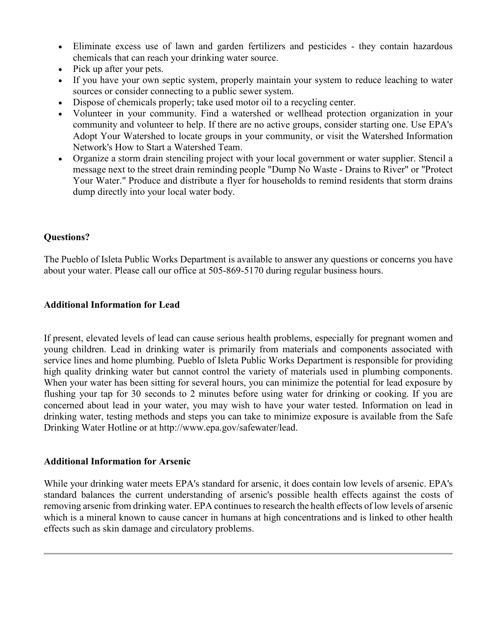- Eliminate excess use of lawn and garden fertilizers and pesticides they contain hazardous chemicals that can reach your drinking water source.
- Pick up after your pets.
- If you have your own septic system, properly maintain your system to reduce leaching to water sources or consider connecting to a public sewer system.
- Dispose of chemicals properly; take used motor oil to a recycling center.
- Volunteer in your community. Find a watershed or wellhead protection organization in your community and volunteer to help. If there are no active groups, consider starting one. Use EPA's Adopt Your Watershed to locate groups in your community, or visit the Watershed Information Network's How to Start a Watershed Team.
- Organize a storm drain stenciling project with your local government or water supplier. Stencil a message next to the street drain reminding people "Dump No Waste - Drains to River" or "Protect Your Water." Produce and distribute a flyer for households to remind residents that storm drains dump directly into your local water body.

# **Questions?**

The Pueblo of Isleta Public Works Department is available to answer any questions or concerns you have about your water. Please call our office at 505-869-5170 during regular business hours.

#### **Additional Information for Lead**

If present, elevated levels of lead can cause serious health problems, especially for pregnant women and young children. Lead in drinking water is primarily from materials and components associated with service lines and home plumbing. Pueblo of Isleta Public Works Department is responsible for providing high quality drinking water but cannot control the variety of materials used in plumbing components. When your water has been sitting for several hours, you can minimize the potential for lead exposure by flushing your tap for 30 seconds to 2 minutes before using water for drinking or cooking. If you are concerned about lead in your water, you may wish to have your water tested. Information on lead in drinking water, testing methods and steps you can take to minimize exposure is available from the Safe Drinking Water Hotline or at http://www.epa.gov/safewater/lead.

#### **Additional Information for Arsenic**

While your drinking water meets EPA's standard for arsenic, it does contain low levels of arsenic. EPA's standard balances the current understanding of arsenic's possible health effects against the costs of removing arsenic from drinking water. EPA continues to research the health effects of low levels of arsenic which is a mineral known to cause cancer in humans at high concentrations and is linked to other health effects such as skin damage and circulatory problems.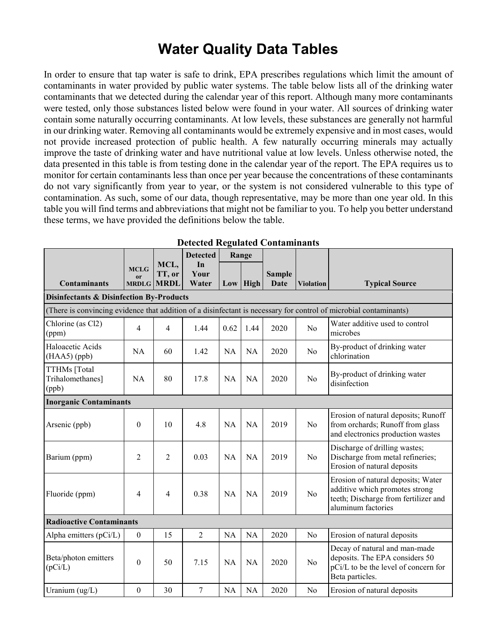# **Water Quality Data Tables**

In order to ensure that tap water is safe to drink, EPA prescribes regulations which limit the amount of contaminants in water provided by public water systems. The table below lists all of the drinking water contaminants that we detected during the calendar year of this report. Although many more contaminants were tested, only those substances listed below were found in your water. All sources of drinking water contain some naturally occurring contaminants. At low levels, these substances are generally not harmful in our drinking water. Removing all contaminants would be extremely expensive and in most cases, would not provide increased protection of public health. A few naturally occurring minerals may actually improve the taste of drinking water and have nutritional value at low levels. Unless otherwise noted, the data presented in this table is from testing done in the calendar year of the report. The EPA requires us to monitor for certain contaminants less than once per year because the concentrations of these contaminants do not vary significantly from year to year, or the system is not considered vulnerable to this type of contamination. As such, some of our data, though representative, may be more than one year old. In this table you will find terms and abbreviations that might not be familiar to you. To help you better understand these terms, we have provided the definitions below the table.

| Detected Regulated Contaminants                     |                                                                                                                   |             |                 |           |           |               |                  |                                                                                                                                    |
|-----------------------------------------------------|-------------------------------------------------------------------------------------------------------------------|-------------|-----------------|-----------|-----------|---------------|------------------|------------------------------------------------------------------------------------------------------------------------------------|
|                                                     |                                                                                                                   |             | <b>Detected</b> | Range     |           |               |                  |                                                                                                                                    |
|                                                     | <b>MCLG</b>                                                                                                       | MCL,        | In              |           |           |               |                  |                                                                                                                                    |
|                                                     | <b>or</b>                                                                                                         | TT, or      | Your            |           |           | <b>Sample</b> |                  |                                                                                                                                    |
| <b>Contaminants</b>                                 | <b>MRDLG</b>                                                                                                      | <b>MRDL</b> | Water           | Low       | High      | Date          | <b>Violation</b> | <b>Typical Source</b>                                                                                                              |
| <b>Disinfectants &amp; Disinfection By-Products</b> |                                                                                                                   |             |                 |           |           |               |                  |                                                                                                                                    |
|                                                     | (There is convincing evidence that addition of a disinfectant is necessary for control of microbial contaminants) |             |                 |           |           |               |                  |                                                                                                                                    |
| Chlorine (as Cl2)<br>(ppm)                          | 4                                                                                                                 | 4           | 1.44            | 0.62      | 1.44      | 2020          | N <sub>o</sub>   | Water additive used to control<br>microbes                                                                                         |
| Haloacetic Acids<br>$(HAA5)$ (ppb)                  | NA                                                                                                                | 60          | 1.42            | <b>NA</b> | <b>NA</b> | 2020          | N <sub>o</sub>   | By-product of drinking water<br>chlorination                                                                                       |
| TTHMs [Total<br>Trihalomethanes]<br>(ppb)           | <b>NA</b>                                                                                                         | 80          | 17.8            | <b>NA</b> | <b>NA</b> | 2020          | No               | By-product of drinking water<br>disinfection                                                                                       |
| <b>Inorganic Contaminants</b>                       |                                                                                                                   |             |                 |           |           |               |                  |                                                                                                                                    |
| Arsenic (ppb)                                       | $\boldsymbol{0}$                                                                                                  | 10          | 4.8             | <b>NA</b> | <b>NA</b> | 2019          | N <sub>o</sub>   | Erosion of natural deposits; Runoff<br>from orchards; Runoff from glass<br>and electronics production wastes                       |
| Barium (ppm)                                        | $\overline{2}$                                                                                                    | 2           | 0.03            | NA        | <b>NA</b> | 2019          | No               | Discharge of drilling wastes;<br>Discharge from metal refineries;<br>Erosion of natural deposits                                   |
| Fluoride (ppm)                                      | $\overline{4}$                                                                                                    | 4           | 0.38            | <b>NA</b> | <b>NA</b> | 2019          | No               | Erosion of natural deposits; Water<br>additive which promotes strong<br>teeth; Discharge from fertilizer and<br>aluminum factories |
| <b>Radioactive Contaminants</b>                     |                                                                                                                   |             |                 |           |           |               |                  |                                                                                                                                    |
| Alpha emitters (pCi/L)                              | $\boldsymbol{0}$                                                                                                  | 15          | $\overline{2}$  | NA        | NA        | 2020          | N <sub>o</sub>   | Erosion of natural deposits                                                                                                        |
| Beta/photon emitters<br>(pCi/L)                     | $\mathbf{0}$                                                                                                      | 50          | 7.15            | NA        | <b>NA</b> | 2020          | No               | Decay of natural and man-made<br>deposits. The EPA considers 50<br>pCi/L to be the level of concern for<br>Beta particles.         |
| Uranium $(ug/L)$                                    | $\mathbf{0}$                                                                                                      | 30          | 7               | <b>NA</b> | NA        | 2020          | No               | Erosion of natural deposits                                                                                                        |

**Detected Regulated Contaminants**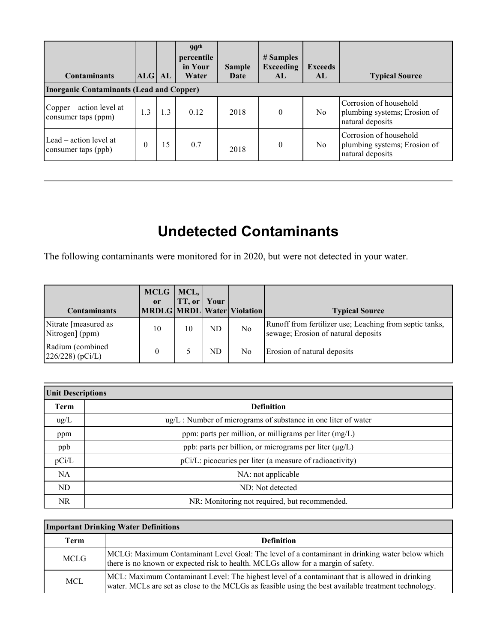| <b>Contaminants</b><br><b>Inorganic Contaminants (Lead and Copper)</b> | ALG AL   |     | 90 <sup>th</sup><br>percentile<br>in Your<br>Water | <b>Sample</b><br>Date | # Samples<br><b>Exceeding</b><br>AL. | <b>Exceeds</b><br>AI. | <b>Typical Source</b>                                                      |
|------------------------------------------------------------------------|----------|-----|----------------------------------------------------|-----------------------|--------------------------------------|-----------------------|----------------------------------------------------------------------------|
| Copper – action level at<br>consumer taps (ppm)                        | 1.3      | 1.3 | 0.12                                               | 2018                  | $\Omega$                             | N <sub>o</sub>        | Corrosion of household<br>plumbing systems; Erosion of<br>natural deposits |
| Lead $-$ action level at<br>consumer taps (ppb)                        | $\theta$ | 15  | 0.7                                                | 2018                  | $\theta$                             | N <sub>o</sub>        | Corrosion of household<br>plumbing systems; Erosion of<br>natural deposits |

# **Undetected Contaminants**

The following contaminants were monitored for in 2020, but were not detected in your water.

| <b>Contaminants</b>                     | $MCLG$   MCL,  <br>or | TT, or | Your | MRDLG MRDL Water Violation | <b>Typical Source</b>                                                                          |
|-----------------------------------------|-----------------------|--------|------|----------------------------|------------------------------------------------------------------------------------------------|
| Nitrate [measured as<br>Nitrogen] (ppm) | 10                    | 10     | ND.  | No                         | Runoff from fertilizer use; Leaching from septic tanks,<br>sewage; Erosion of natural deposits |
| Radium (combined<br>$226/228$ (pCi/L)   |                       |        | ND   | N <sub>o</sub>             | Erosion of natural deposits                                                                    |

| <b>Unit Descriptions</b> |                                                                     |  |  |  |  |
|--------------------------|---------------------------------------------------------------------|--|--|--|--|
| <b>Term</b>              | <b>Definition</b>                                                   |  |  |  |  |
| $\text{ug/L}$            | $\mu$ g/L : Number of micrograms of substance in one liter of water |  |  |  |  |
| ppm                      | ppm: parts per million, or milligrams per liter (mg/L)              |  |  |  |  |
| ppb                      | ppb: parts per billion, or micrograms per liter (µg/L)              |  |  |  |  |
| pCi/L                    | pCi/L: picocuries per liter (a measure of radioactivity)            |  |  |  |  |
| <b>NA</b>                | NA: not applicable                                                  |  |  |  |  |
| ND                       | ND: Not detected                                                    |  |  |  |  |
| NR.                      | NR: Monitoring not required, but recommended.                       |  |  |  |  |

| <b>Important Drinking Water Definitions</b> |                                                                                                                                                                                                        |  |  |  |  |
|---------------------------------------------|--------------------------------------------------------------------------------------------------------------------------------------------------------------------------------------------------------|--|--|--|--|
| Term                                        | <b>Definition</b>                                                                                                                                                                                      |  |  |  |  |
| <b>MCLG</b>                                 | MCLG: Maximum Contaminant Level Goal: The level of a contaminant in drinking water below which<br>there is no known or expected risk to health. MCLGs allow for a margin of safety.                    |  |  |  |  |
| <b>MCL</b>                                  | MCL: Maximum Contaminant Level: The highest level of a contaminant that is allowed in drinking<br>water. MCLs are set as close to the MCLGs as feasible using the best available treatment technology. |  |  |  |  |